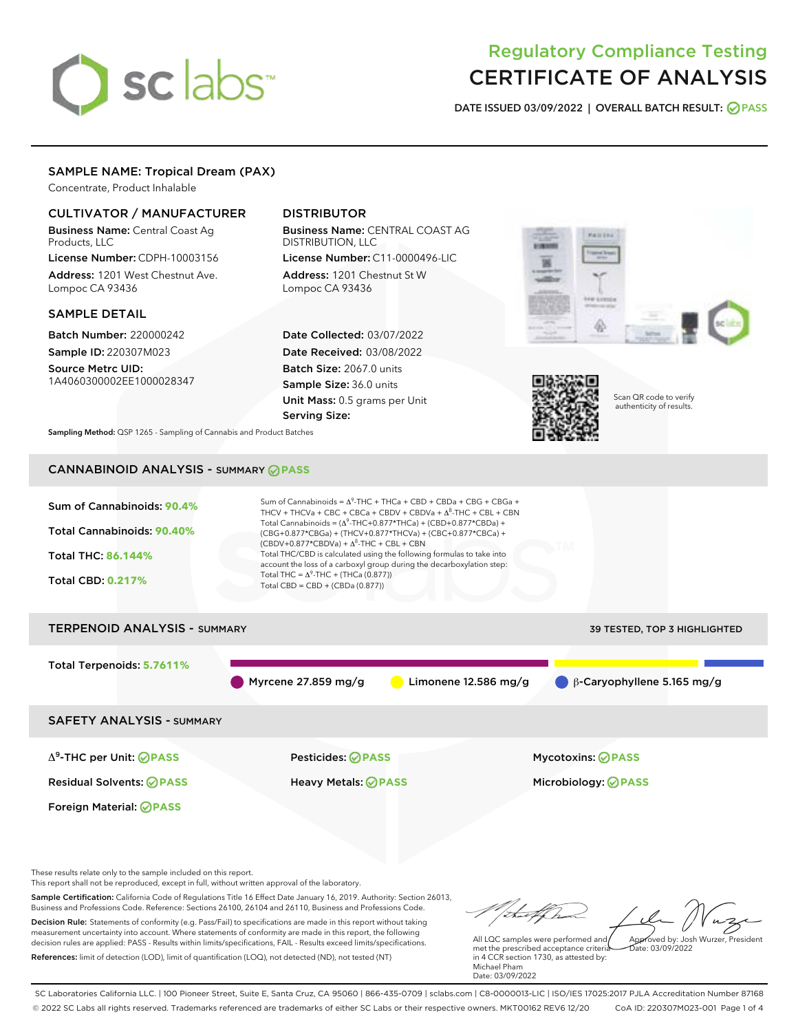# sclabs<sup>\*</sup>

# Regulatory Compliance Testing CERTIFICATE OF ANALYSIS

DATE ISSUED 03/09/2022 | OVERALL BATCH RESULT: @ PASS

#### SAMPLE NAME: Tropical Dream (PAX)

Concentrate, Product Inhalable

## CULTIVATOR / MANUFACTURER

Business Name: Central Coast Ag Products, LLC License Number: CDPH-10003156

Address: 1201 West Chestnut Ave. Lompoc CA 93436

#### SAMPLE DETAIL

Batch Number: 220000242 Sample ID: 220307M023

Source Metrc UID: 1A4060300002EE1000028347

# DISTRIBUTOR

Business Name: CENTRAL COAST AG DISTRIBUTION, LLC License Number: C11-0000496-LIC

Address: 1201 Chestnut St W Lompoc CA 93436

Date Collected: 03/07/2022 Date Received: 03/08/2022 Batch Size: 2067.0 units Sample Size: 36.0 units Unit Mass: 0.5 grams per Unit Serving Size:





Scan QR code to verify authenticity of results.

Sampling Method: QSP 1265 - Sampling of Cannabis and Product Batches

# CANNABINOID ANALYSIS - SUMMARY **PASS**



measurement uncertainty into account. Where statements of conformity are made in this report, the following decision rules are applied: PASS - Results within limits/specifications, FAIL - Results exceed limits/specifications. References: limit of detection (LOD), limit of quantification (LOQ), not detected (ND), not tested (NT)

All LQC samples were performed and met the prescribed acceptance criteria in 4 CCR section 1730, as attested by: Michael Pham Date: 03/09/2022 Approved by: Josh Wurzer, President  $\frac{1}{2}$ ate: 03/09/2022

SC Laboratories California LLC. | 100 Pioneer Street, Suite E, Santa Cruz, CA 95060 | 866-435-0709 | sclabs.com | C8-0000013-LIC | ISO/IES 17025:2017 PJLA Accreditation Number 87168 © 2022 SC Labs all rights reserved. Trademarks referenced are trademarks of either SC Labs or their respective owners. MKT00162 REV6 12/20 CoA ID: 220307M023-001 Page 1 of 4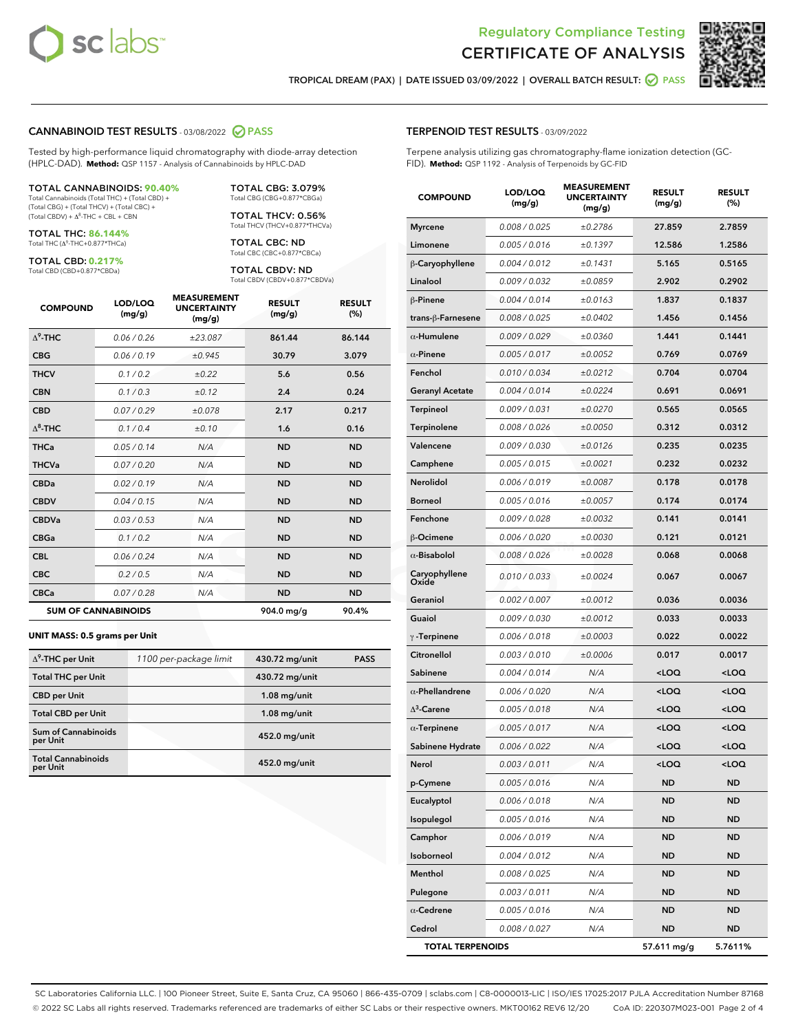



TROPICAL DREAM (PAX) | DATE ISSUED 03/09/2022 | OVERALL BATCH RESULT: **○** PASS

#### CANNABINOID TEST RESULTS - 03/08/2022 2 PASS

Tested by high-performance liquid chromatography with diode-array detection (HPLC-DAD). **Method:** QSP 1157 - Analysis of Cannabinoids by HPLC-DAD

#### TOTAL CANNABINOIDS: **90.40%**

Total Cannabinoids (Total THC) + (Total CBD) + (Total CBG) + (Total THCV) + (Total CBC) +  $(Total CBDV) +  $\Delta^8$ -THC + CBL + CBN$ 

TOTAL THC: **86.144%** Total THC (Δ<sup>9</sup> -THC+0.877\*THCa)

TOTAL CBD: **0.217%**

Total CBD (CBD+0.877\*CBDa)

TOTAL CBG: 3.079% Total CBG (CBG+0.877\*CBGa)

TOTAL THCV: 0.56% Total THCV (THCV+0.877\*THCVa)

TOTAL CBC: ND Total CBC (CBC+0.877\*CBCa)

TOTAL CBDV: ND Total CBDV (CBDV+0.877\*CBDVa)

| <b>COMPOUND</b>  | LOD/LOQ<br>(mg/g)          | <b>MEASUREMENT</b><br><b>UNCERTAINTY</b><br>(mg/g) | <b>RESULT</b><br>(mg/g) | <b>RESULT</b><br>(%) |
|------------------|----------------------------|----------------------------------------------------|-------------------------|----------------------|
| $\Lambda^9$ -THC | 0.06 / 0.26                | ±23.087                                            | 861.44                  | 86.144               |
| <b>CBG</b>       | 0.06/0.19                  | ±0.945                                             | 30.79                   | 3.079                |
| <b>THCV</b>      | 0.1 / 0.2                  | ±0.22                                              | 5.6                     | 0.56                 |
| <b>CBN</b>       | 0.1/0.3                    | ±0.12                                              | 2.4                     | 0.24                 |
| <b>CBD</b>       | 0.07/0.29                  | ±0.078                                             | 2.17                    | 0.217                |
| $\Delta^8$ -THC  | 0.1 / 0.4                  | ±0.10                                              | 1.6                     | 0.16                 |
| <b>THCa</b>      | 0.05/0.14                  | N/A                                                | <b>ND</b>               | <b>ND</b>            |
| <b>THCVa</b>     | 0.07 / 0.20                | N/A                                                | <b>ND</b>               | <b>ND</b>            |
| <b>CBDa</b>      | 0.02/0.19                  | N/A                                                | <b>ND</b>               | <b>ND</b>            |
| <b>CBDV</b>      | 0.04 / 0.15                | N/A                                                | <b>ND</b>               | <b>ND</b>            |
| <b>CBDVa</b>     | 0.03/0.53                  | N/A                                                | <b>ND</b>               | <b>ND</b>            |
| <b>CBGa</b>      | 0.1 / 0.2                  | N/A                                                | <b>ND</b>               | <b>ND</b>            |
| <b>CBL</b>       | 0.06 / 0.24                | N/A                                                | <b>ND</b>               | <b>ND</b>            |
| <b>CBC</b>       | 0.2 / 0.5                  | N/A                                                | <b>ND</b>               | <b>ND</b>            |
| <b>CBCa</b>      | 0.07/0.28                  | N/A                                                | <b>ND</b>               | <b>ND</b>            |
|                  | <b>SUM OF CANNABINOIDS</b> |                                                    | 904.0 mg/g              | 90.4%                |

#### **UNIT MASS: 0.5 grams per Unit**

| $\Delta^9$ -THC per Unit               | 1100 per-package limit | 430.72 mg/unit | <b>PASS</b> |
|----------------------------------------|------------------------|----------------|-------------|
| <b>Total THC per Unit</b>              |                        | 430.72 mg/unit |             |
| <b>CBD</b> per Unit                    |                        | $1.08$ mg/unit |             |
| <b>Total CBD per Unit</b>              |                        | $1.08$ mg/unit |             |
| <b>Sum of Cannabinoids</b><br>per Unit |                        | 452.0 mg/unit  |             |
| <b>Total Cannabinoids</b><br>per Unit  |                        | 452.0 mg/unit  |             |

| <b>COMPOUND</b>         | LOD/LOQ<br>(mg/g) | <b>MEASUREMENT</b><br><b>UNCERTAINTY</b><br>(mg/g) | <b>RESULT</b><br>(mg/g)                         | <b>RESULT</b><br>(%) |
|-------------------------|-------------------|----------------------------------------------------|-------------------------------------------------|----------------------|
| <b>Myrcene</b>          | 0.008 / 0.025     | ±0.2786                                            | 27.859                                          | 2.7859               |
| Limonene                | 0.005 / 0.016     | ±0.1397                                            | 12.586                                          | 1.2586               |
| β-Caryophyllene         | 0.004 / 0.012     | ±0.1431                                            | 5.165                                           | 0.5165               |
| Linalool                | 0.009 / 0.032     | ±0.0859                                            | 2.902                                           | 0.2902               |
| β-Pinene                | 0.004 / 0.014     | ±0.0163                                            | 1.837                                           | 0.1837               |
| trans-β-Farnesene       | 0.008 / 0.025     | ±0.0402                                            | 1.456                                           | 0.1456               |
| $\alpha$ -Humulene      | 0.009 / 0.029     | ±0.0360                                            | 1.441                                           | 0.1441               |
| $\alpha$ -Pinene        | 0.005 / 0.017     | ±0.0052                                            | 0.769                                           | 0.0769               |
| Fenchol                 | 0.010 / 0.034     | ±0.0212                                            | 0.704                                           | 0.0704               |
| <b>Geranyl Acetate</b>  | 0.004 / 0.014     | ±0.0224                                            | 0.691                                           | 0.0691               |
| Terpineol               | 0.009 / 0.031     | ±0.0270                                            | 0.565                                           | 0.0565               |
| Terpinolene             | 0.008 / 0.026     | ±0.0050                                            | 0.312                                           | 0.0312               |
| Valencene               | 0.009 / 0.030     | ±0.0126                                            | 0.235                                           | 0.0235               |
| Camphene                | 0.005 / 0.015     | ±0.0021                                            | 0.232                                           | 0.0232               |
| Nerolidol               | 0.006 / 0.019     | ±0.0087                                            | 0.178                                           | 0.0178               |
| <b>Borneol</b>          | 0.005 / 0.016     | ±0.0057                                            | 0.174                                           | 0.0174               |
| Fenchone                | 0.009 / 0.028     | ±0.0032                                            | 0.141                                           | 0.0141               |
| β-Ocimene               | 0.006 / 0.020     | ±0.0030                                            | 0.121                                           | 0.0121               |
| $\alpha$ -Bisabolol     | 0.008 / 0.026     | ±0.0028                                            | 0.068                                           | 0.0068               |
| Caryophyllene<br>Oxide  | 0.010 / 0.033     | ±0.0024                                            | 0.067                                           | 0.0067               |
| Geraniol                | 0.002 / 0.007     | ±0.0012                                            | 0.036                                           | 0.0036               |
| Guaiol                  | 0.009 / 0.030     | ±0.0012                                            | 0.033                                           | 0.0033               |
| $\gamma$ -Terpinene     | 0.006 / 0.018     | ±0.0003                                            | 0.022                                           | 0.0022               |
| Citronellol             | 0.003 / 0.010     | ±0.0006                                            | 0.017                                           | 0.0017               |
| Sabinene                | 0.004 / 0.014     | N/A                                                | <loq< th=""><th><loq< th=""></loq<></th></loq<> | <loq< th=""></loq<>  |
| $\alpha$ -Phellandrene  | 0.006 / 0.020     | N/A                                                | <loq< th=""><th><loq< th=""></loq<></th></loq<> | <loq< th=""></loq<>  |
| $\Delta^3$ -Carene      | 0.005 / 0.018     | N/A                                                | <loq< th=""><th><loq< th=""></loq<></th></loq<> | <loq< th=""></loq<>  |
| $\alpha$ -Terpinene     | 0.005 / 0.017     | N/A                                                | <loq< th=""><th><loq< th=""></loq<></th></loq<> | <loq< th=""></loq<>  |
| Sabinene Hydrate        | 0.006 / 0.022     | N/A                                                | <loq< th=""><th><loq< th=""></loq<></th></loq<> | <loq< th=""></loq<>  |
| Nerol                   | 0.003 / 0.011     | N/A                                                | $\sim$ 00                                       | <100                 |
| p-Cymene                | 0.005 / 0.016     | N/A                                                | ND                                              | ND                   |
| Eucalyptol              | 0.006 / 0.018     | N/A                                                | <b>ND</b>                                       | <b>ND</b>            |
| Isopulegol              | 0.005 / 0.016     | N/A                                                | <b>ND</b>                                       | ND                   |
| Camphor                 | 0.006 / 0.019     | N/A                                                | ND                                              | ND                   |
| Isoborneol              | 0.004 / 0.012     | N/A                                                | ND                                              | ND                   |
| Menthol                 | 0.008 / 0.025     | N/A                                                | <b>ND</b>                                       | ND                   |
| Pulegone                | 0.003 / 0.011     | N/A                                                | ND                                              | ND                   |
| $\alpha$ -Cedrene       | 0.005 / 0.016     | N/A                                                | ND                                              | ND                   |
| Cedrol                  | 0.008 / 0.027     | N/A                                                | <b>ND</b>                                       | ND                   |
| <b>TOTAL TERPENOIDS</b> |                   |                                                    | 57.611 mg/g                                     | 5.7611%              |

SC Laboratories California LLC. | 100 Pioneer Street, Suite E, Santa Cruz, CA 95060 | 866-435-0709 | sclabs.com | C8-0000013-LIC | ISO/IES 17025:2017 PJLA Accreditation Number 87168 © 2022 SC Labs all rights reserved. Trademarks referenced are trademarks of either SC Labs or their respective owners. MKT00162 REV6 12/20 CoA ID: 220307M023-001 Page 2 of 4

#### TERPENOID TEST RESULTS - 03/09/2022

Terpene analysis utilizing gas chromatography-flame ionization detection (GC-FID). **Method:** QSP 1192 - Analysis of Terpenoids by GC-FID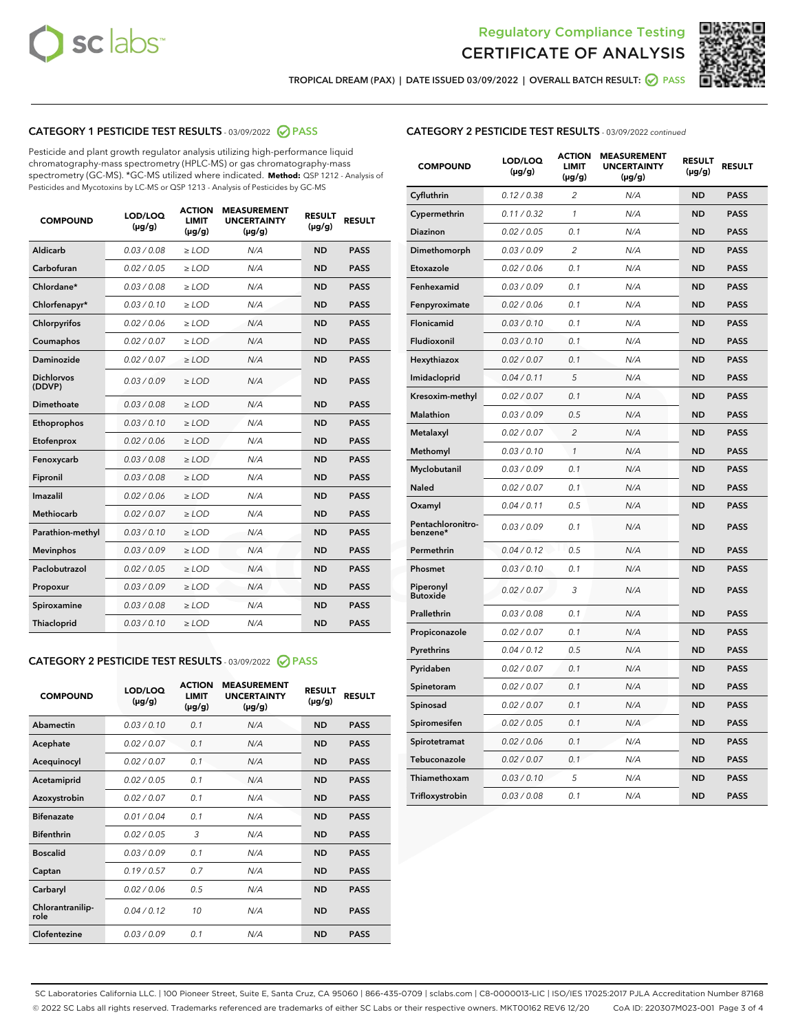



TROPICAL DREAM (PAX) | DATE ISSUED 03/09/2022 | OVERALL BATCH RESULT: @ PASS

## CATEGORY 1 PESTICIDE TEST RESULTS - 03/09/2022 2 PASS

Pesticide and plant growth regulator analysis utilizing high-performance liquid chromatography-mass spectrometry (HPLC-MS) or gas chromatography-mass spectrometry (GC-MS). \*GC-MS utilized where indicated. **Method:** QSP 1212 - Analysis of Pesticides and Mycotoxins by LC-MS or QSP 1213 - Analysis of Pesticides by GC-MS

| 0.03 / 0.08<br><b>ND</b><br>Aldicarb<br>$\ge$ LOD<br>N/A<br><b>PASS</b><br>Carbofuran<br><b>PASS</b><br>0.02 / 0.05<br>$>$ LOD<br>N/A<br><b>ND</b><br>Chlordane*<br>0.03/0.08<br>N/A<br><b>ND</b><br><b>PASS</b><br>$\ge$ LOD<br>Chlorfenapyr*<br>0.03/0.10<br><b>ND</b><br><b>PASS</b><br>$\ge$ LOD<br>N/A<br>Chlorpyrifos<br>0.02/0.06<br>$>$ LOD<br>N/A<br><b>ND</b><br><b>PASS</b><br>0.02 / 0.07<br>N/A<br><b>ND</b><br>Coumaphos<br>$\ge$ LOD<br><b>PASS</b><br>Daminozide<br>0.02 / 0.07<br>N/A<br><b>ND</b><br><b>PASS</b><br>$\ge$ LOD<br><b>Dichlorvos</b><br>0.03/0.09<br>N/A<br><b>ND</b><br>$\ge$ LOD<br><b>PASS</b><br>(DDVP)<br>Dimethoate<br>0.03/0.08<br>N/A<br><b>ND</b><br><b>PASS</b><br>$>$ LOD<br>Ethoprophos<br>0.03/0.10<br>$\ge$ LOD<br>N/A<br><b>ND</b><br><b>PASS</b><br>Etofenprox<br>0.02 / 0.06<br>N/A<br><b>ND</b><br><b>PASS</b><br>$>$ LOD<br>N/A<br>Fenoxycarb<br>0.03/0.08<br>$>$ LOD<br><b>ND</b><br><b>PASS</b><br>0.03 / 0.08<br>$\ge$ LOD<br>N/A<br><b>ND</b><br><b>PASS</b><br>Fipronil<br>Imazalil<br>0.02/0.06<br>$>$ LOD<br>N/A<br><b>ND</b><br><b>PASS</b><br><b>Methiocarb</b><br>0.02 / 0.07<br>N/A<br><b>ND</b><br><b>PASS</b><br>$\ge$ LOD<br>Parathion-methyl<br>0.03/0.10<br>N/A<br><b>ND</b><br><b>PASS</b><br>$\ge$ LOD<br>0.03/0.09<br>N/A<br><b>ND</b><br><b>PASS</b><br><b>Mevinphos</b><br>$>$ LOD<br>Paclobutrazol<br>0.02 / 0.05<br>N/A<br><b>ND</b><br><b>PASS</b><br>$\ge$ LOD<br>0.03/0.09<br>N/A<br><b>ND</b><br><b>PASS</b><br>$>$ LOD<br>Propoxur<br>0.03 / 0.08<br>$\ge$ LOD<br>N/A<br><b>ND</b><br><b>PASS</b><br>Spiroxamine<br>0.03/0.10<br>N/A<br><b>ND</b><br><b>PASS</b><br>Thiacloprid<br>$\ge$ LOD | <b>COMPOUND</b> | LOD/LOQ<br>$(\mu g/g)$ | <b>ACTION</b><br>LIMIT<br>$(\mu g/g)$ | <b>MEASUREMENT</b><br><b>UNCERTAINTY</b><br>$(\mu g/g)$ | <b>RESULT</b><br>$(\mu g/g)$ | <b>RESULT</b> |
|-----------------------------------------------------------------------------------------------------------------------------------------------------------------------------------------------------------------------------------------------------------------------------------------------------------------------------------------------------------------------------------------------------------------------------------------------------------------------------------------------------------------------------------------------------------------------------------------------------------------------------------------------------------------------------------------------------------------------------------------------------------------------------------------------------------------------------------------------------------------------------------------------------------------------------------------------------------------------------------------------------------------------------------------------------------------------------------------------------------------------------------------------------------------------------------------------------------------------------------------------------------------------------------------------------------------------------------------------------------------------------------------------------------------------------------------------------------------------------------------------------------------------------------------------------------------------------------------------------------------------------------------------------------------------------|-----------------|------------------------|---------------------------------------|---------------------------------------------------------|------------------------------|---------------|
|                                                                                                                                                                                                                                                                                                                                                                                                                                                                                                                                                                                                                                                                                                                                                                                                                                                                                                                                                                                                                                                                                                                                                                                                                                                                                                                                                                                                                                                                                                                                                                                                                                                                             |                 |                        |                                       |                                                         |                              |               |
|                                                                                                                                                                                                                                                                                                                                                                                                                                                                                                                                                                                                                                                                                                                                                                                                                                                                                                                                                                                                                                                                                                                                                                                                                                                                                                                                                                                                                                                                                                                                                                                                                                                                             |                 |                        |                                       |                                                         |                              |               |
|                                                                                                                                                                                                                                                                                                                                                                                                                                                                                                                                                                                                                                                                                                                                                                                                                                                                                                                                                                                                                                                                                                                                                                                                                                                                                                                                                                                                                                                                                                                                                                                                                                                                             |                 |                        |                                       |                                                         |                              |               |
|                                                                                                                                                                                                                                                                                                                                                                                                                                                                                                                                                                                                                                                                                                                                                                                                                                                                                                                                                                                                                                                                                                                                                                                                                                                                                                                                                                                                                                                                                                                                                                                                                                                                             |                 |                        |                                       |                                                         |                              |               |
|                                                                                                                                                                                                                                                                                                                                                                                                                                                                                                                                                                                                                                                                                                                                                                                                                                                                                                                                                                                                                                                                                                                                                                                                                                                                                                                                                                                                                                                                                                                                                                                                                                                                             |                 |                        |                                       |                                                         |                              |               |
|                                                                                                                                                                                                                                                                                                                                                                                                                                                                                                                                                                                                                                                                                                                                                                                                                                                                                                                                                                                                                                                                                                                                                                                                                                                                                                                                                                                                                                                                                                                                                                                                                                                                             |                 |                        |                                       |                                                         |                              |               |
|                                                                                                                                                                                                                                                                                                                                                                                                                                                                                                                                                                                                                                                                                                                                                                                                                                                                                                                                                                                                                                                                                                                                                                                                                                                                                                                                                                                                                                                                                                                                                                                                                                                                             |                 |                        |                                       |                                                         |                              |               |
|                                                                                                                                                                                                                                                                                                                                                                                                                                                                                                                                                                                                                                                                                                                                                                                                                                                                                                                                                                                                                                                                                                                                                                                                                                                                                                                                                                                                                                                                                                                                                                                                                                                                             |                 |                        |                                       |                                                         |                              |               |
|                                                                                                                                                                                                                                                                                                                                                                                                                                                                                                                                                                                                                                                                                                                                                                                                                                                                                                                                                                                                                                                                                                                                                                                                                                                                                                                                                                                                                                                                                                                                                                                                                                                                             |                 |                        |                                       |                                                         |                              |               |
|                                                                                                                                                                                                                                                                                                                                                                                                                                                                                                                                                                                                                                                                                                                                                                                                                                                                                                                                                                                                                                                                                                                                                                                                                                                                                                                                                                                                                                                                                                                                                                                                                                                                             |                 |                        |                                       |                                                         |                              |               |
|                                                                                                                                                                                                                                                                                                                                                                                                                                                                                                                                                                                                                                                                                                                                                                                                                                                                                                                                                                                                                                                                                                                                                                                                                                                                                                                                                                                                                                                                                                                                                                                                                                                                             |                 |                        |                                       |                                                         |                              |               |
|                                                                                                                                                                                                                                                                                                                                                                                                                                                                                                                                                                                                                                                                                                                                                                                                                                                                                                                                                                                                                                                                                                                                                                                                                                                                                                                                                                                                                                                                                                                                                                                                                                                                             |                 |                        |                                       |                                                         |                              |               |
|                                                                                                                                                                                                                                                                                                                                                                                                                                                                                                                                                                                                                                                                                                                                                                                                                                                                                                                                                                                                                                                                                                                                                                                                                                                                                                                                                                                                                                                                                                                                                                                                                                                                             |                 |                        |                                       |                                                         |                              |               |
|                                                                                                                                                                                                                                                                                                                                                                                                                                                                                                                                                                                                                                                                                                                                                                                                                                                                                                                                                                                                                                                                                                                                                                                                                                                                                                                                                                                                                                                                                                                                                                                                                                                                             |                 |                        |                                       |                                                         |                              |               |
|                                                                                                                                                                                                                                                                                                                                                                                                                                                                                                                                                                                                                                                                                                                                                                                                                                                                                                                                                                                                                                                                                                                                                                                                                                                                                                                                                                                                                                                                                                                                                                                                                                                                             |                 |                        |                                       |                                                         |                              |               |
|                                                                                                                                                                                                                                                                                                                                                                                                                                                                                                                                                                                                                                                                                                                                                                                                                                                                                                                                                                                                                                                                                                                                                                                                                                                                                                                                                                                                                                                                                                                                                                                                                                                                             |                 |                        |                                       |                                                         |                              |               |
|                                                                                                                                                                                                                                                                                                                                                                                                                                                                                                                                                                                                                                                                                                                                                                                                                                                                                                                                                                                                                                                                                                                                                                                                                                                                                                                                                                                                                                                                                                                                                                                                                                                                             |                 |                        |                                       |                                                         |                              |               |
|                                                                                                                                                                                                                                                                                                                                                                                                                                                                                                                                                                                                                                                                                                                                                                                                                                                                                                                                                                                                                                                                                                                                                                                                                                                                                                                                                                                                                                                                                                                                                                                                                                                                             |                 |                        |                                       |                                                         |                              |               |
|                                                                                                                                                                                                                                                                                                                                                                                                                                                                                                                                                                                                                                                                                                                                                                                                                                                                                                                                                                                                                                                                                                                                                                                                                                                                                                                                                                                                                                                                                                                                                                                                                                                                             |                 |                        |                                       |                                                         |                              |               |
|                                                                                                                                                                                                                                                                                                                                                                                                                                                                                                                                                                                                                                                                                                                                                                                                                                                                                                                                                                                                                                                                                                                                                                                                                                                                                                                                                                                                                                                                                                                                                                                                                                                                             |                 |                        |                                       |                                                         |                              |               |
|                                                                                                                                                                                                                                                                                                                                                                                                                                                                                                                                                                                                                                                                                                                                                                                                                                                                                                                                                                                                                                                                                                                                                                                                                                                                                                                                                                                                                                                                                                                                                                                                                                                                             |                 |                        |                                       |                                                         |                              |               |

#### CATEGORY 2 PESTICIDE TEST RESULTS - 03/09/2022 @ PASS

| <b>COMPOUND</b>          | LOD/LOQ<br>$(\mu g/g)$ | <b>ACTION</b><br><b>LIMIT</b><br>$(\mu g/g)$ | <b>MEASUREMENT</b><br><b>UNCERTAINTY</b><br>$(\mu g/g)$ | <b>RESULT</b><br>$(\mu g/g)$ | <b>RESULT</b> |
|--------------------------|------------------------|----------------------------------------------|---------------------------------------------------------|------------------------------|---------------|
| Abamectin                | 0.03/0.10              | 0.1                                          | N/A                                                     | <b>ND</b>                    | <b>PASS</b>   |
| Acephate                 | 0.02/0.07              | 0.1                                          | N/A                                                     | <b>ND</b>                    | <b>PASS</b>   |
| Acequinocyl              | 0.02/0.07              | 0.1                                          | N/A                                                     | <b>ND</b>                    | <b>PASS</b>   |
| Acetamiprid              | 0.02/0.05              | 0.1                                          | N/A                                                     | <b>ND</b>                    | <b>PASS</b>   |
| Azoxystrobin             | 0.02 / 0.07            | 0.1                                          | N/A                                                     | <b>ND</b>                    | <b>PASS</b>   |
| <b>Bifenazate</b>        | 0.01/0.04              | 0.1                                          | N/A                                                     | <b>ND</b>                    | <b>PASS</b>   |
| <b>Bifenthrin</b>        | 0.02 / 0.05            | 3                                            | N/A                                                     | <b>ND</b>                    | <b>PASS</b>   |
| <b>Boscalid</b>          | 0.03/0.09              | 0.1                                          | N/A                                                     | <b>ND</b>                    | <b>PASS</b>   |
| Captan                   | 0.19/0.57              | 0.7                                          | N/A                                                     | <b>ND</b>                    | <b>PASS</b>   |
| Carbaryl                 | 0.02/0.06              | 0.5                                          | N/A                                                     | <b>ND</b>                    | <b>PASS</b>   |
| Chlorantranilip-<br>role | 0.04/0.12              | 10                                           | N/A                                                     | <b>ND</b>                    | <b>PASS</b>   |
| Clofentezine             | 0.03/0.09              | 0.1                                          | N/A                                                     | <b>ND</b>                    | <b>PASS</b>   |

#### CATEGORY 2 PESTICIDE TEST RESULTS - 03/09/2022 continued

| <b>COMPOUND</b>               | LOD/LOQ<br>(µg/g) | <b>ACTION</b><br><b>LIMIT</b><br>$(\mu g/g)$ | <b>MEASUREMENT</b><br><b>UNCERTAINTY</b><br>$(\mu g/g)$ | <b>RESULT</b><br>(µg/g) | <b>RESULT</b> |
|-------------------------------|-------------------|----------------------------------------------|---------------------------------------------------------|-------------------------|---------------|
| Cyfluthrin                    | 0.12 / 0.38       | $\overline{c}$                               | N/A                                                     | <b>ND</b>               | <b>PASS</b>   |
| Cypermethrin                  | 0.11 / 0.32       | $\mathcal{I}$                                | N/A                                                     | <b>ND</b>               | <b>PASS</b>   |
| <b>Diazinon</b>               | 0.02 / 0.05       | 0.1                                          | N/A                                                     | <b>ND</b>               | <b>PASS</b>   |
| Dimethomorph                  | 0.03 / 0.09       | 2                                            | N/A                                                     | <b>ND</b>               | <b>PASS</b>   |
| Etoxazole                     | 0.02 / 0.06       | 0.1                                          | N/A                                                     | <b>ND</b>               | <b>PASS</b>   |
| Fenhexamid                    | 0.03 / 0.09       | 0.1                                          | N/A                                                     | <b>ND</b>               | <b>PASS</b>   |
| Fenpyroximate                 | 0.02 / 0.06       | 0.1                                          | N/A                                                     | <b>ND</b>               | <b>PASS</b>   |
| Flonicamid                    | 0.03 / 0.10       | 0.1                                          | N/A                                                     | <b>ND</b>               | <b>PASS</b>   |
| Fludioxonil                   | 0.03 / 0.10       | 0.1                                          | N/A                                                     | <b>ND</b>               | <b>PASS</b>   |
| Hexythiazox                   | 0.02 / 0.07       | 0.1                                          | N/A                                                     | <b>ND</b>               | <b>PASS</b>   |
| Imidacloprid                  | 0.04 / 0.11       | 5                                            | N/A                                                     | <b>ND</b>               | <b>PASS</b>   |
| Kresoxim-methyl               | 0.02 / 0.07       | 0.1                                          | N/A                                                     | <b>ND</b>               | <b>PASS</b>   |
| Malathion                     | 0.03 / 0.09       | 0.5                                          | N/A                                                     | <b>ND</b>               | <b>PASS</b>   |
| Metalaxyl                     | 0.02 / 0.07       | $\overline{c}$                               | N/A                                                     | <b>ND</b>               | <b>PASS</b>   |
| Methomyl                      | 0.03 / 0.10       | 1                                            | N/A                                                     | <b>ND</b>               | <b>PASS</b>   |
| Myclobutanil                  | 0.03 / 0.09       | 0.1                                          | N/A                                                     | <b>ND</b>               | <b>PASS</b>   |
| Naled                         | 0.02 / 0.07       | 0.1                                          | N/A                                                     | <b>ND</b>               | <b>PASS</b>   |
| Oxamyl                        | 0.04 / 0.11       | 0.5                                          | N/A                                                     | <b>ND</b>               | <b>PASS</b>   |
| Pentachloronitro-<br>benzene* | 0.03 / 0.09       | 0.1                                          | N/A                                                     | <b>ND</b>               | <b>PASS</b>   |
| Permethrin                    | 0.04 / 0.12       | 0.5                                          | N/A                                                     | <b>ND</b>               | <b>PASS</b>   |
| Phosmet                       | 0.03 / 0.10       | 0.1                                          | N/A                                                     | <b>ND</b>               | <b>PASS</b>   |
| Piperonyl<br><b>Butoxide</b>  | 0.02 / 0.07       | 3                                            | N/A                                                     | <b>ND</b>               | <b>PASS</b>   |
| Prallethrin                   | 0.03 / 0.08       | 0.1                                          | N/A                                                     | <b>ND</b>               | <b>PASS</b>   |
| Propiconazole                 | 0.02 / 0.07       | 0.1                                          | N/A                                                     | <b>ND</b>               | <b>PASS</b>   |
| Pyrethrins                    | 0.04 / 0.12       | 0.5                                          | N/A                                                     | <b>ND</b>               | <b>PASS</b>   |
| Pyridaben                     | 0.02 / 0.07       | 0.1                                          | N/A                                                     | <b>ND</b>               | <b>PASS</b>   |
| Spinetoram                    | 0.02 / 0.07       | 0.1                                          | N/A                                                     | <b>ND</b>               | <b>PASS</b>   |
| Spinosad                      | 0.02 / 0.07       | 0.1                                          | N/A                                                     | <b>ND</b>               | <b>PASS</b>   |
| Spiromesifen                  | 0.02 / 0.05       | 0.1                                          | N/A                                                     | <b>ND</b>               | <b>PASS</b>   |
| Spirotetramat                 | 0.02 / 0.06       | 0.1                                          | N/A                                                     | <b>ND</b>               | <b>PASS</b>   |
| Tebuconazole                  | 0.02 / 0.07       | 0.1                                          | N/A                                                     | <b>ND</b>               | <b>PASS</b>   |
| Thiamethoxam                  | 0.03 / 0.10       | 5                                            | N/A                                                     | <b>ND</b>               | <b>PASS</b>   |
| Trifloxystrobin               | 0.03 / 0.08       | 0.1                                          | N/A                                                     | <b>ND</b>               | <b>PASS</b>   |

SC Laboratories California LLC. | 100 Pioneer Street, Suite E, Santa Cruz, CA 95060 | 866-435-0709 | sclabs.com | C8-0000013-LIC | ISO/IES 17025:2017 PJLA Accreditation Number 87168 © 2022 SC Labs all rights reserved. Trademarks referenced are trademarks of either SC Labs or their respective owners. MKT00162 REV6 12/20 CoA ID: 220307M023-001 Page 3 of 4